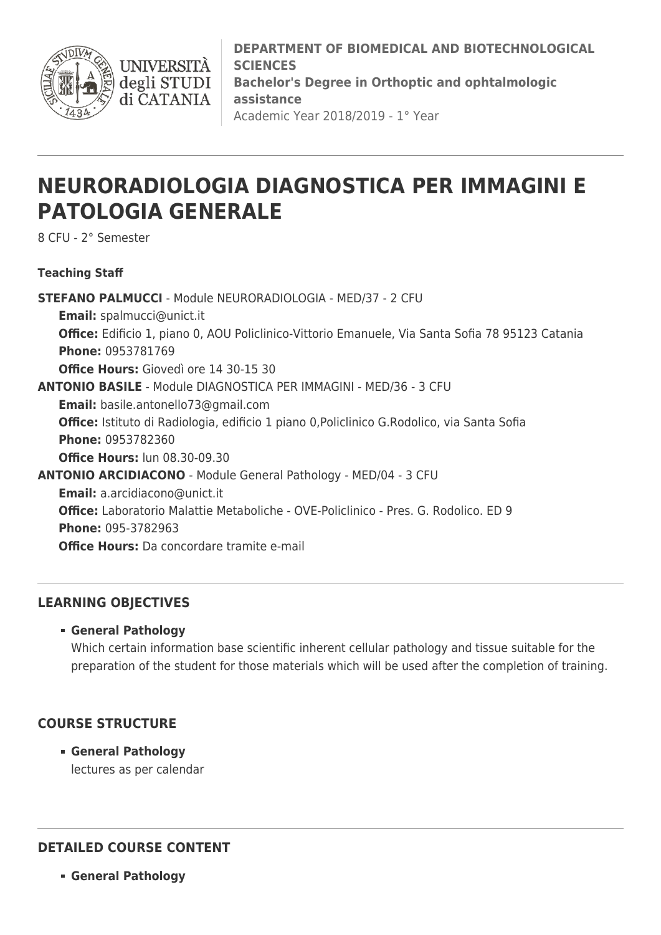

**DEPARTMENT OF BIOMEDICAL AND BIOTECHNOLOGICAL SCIENCES Bachelor's Degree in Orthoptic and ophtalmologic assistance** Academic Year 2018/2019 - 1° Year

# **NEURORADIOLOGIA DIAGNOSTICA PER IMMAGINI E PATOLOGIA GENERALE**

8 CFU - 2° Semester

#### **Teaching Staff**

**STEFANO PALMUCCI** - Module NEURORADIOLOGIA - MED/37 - 2 CFU **Email:** [spalmucci@unict.it](mailto:spalmucci@unict.it) **Office:** Edificio 1, piano 0, AOU Policlinico-Vittorio Emanuele, Via Santa Sofia 78 95123 Catania **Phone:** 0953781769 **Office Hours:** Giovedì ore 14 30-15 30 **ANTONIO BASILE** - Module DIAGNOSTICA PER IMMAGINI - MED/36 - 3 CFU **Email:** [basile.antonello73@gmail.com](mailto:basile.antonello73@gmail.com) **Office:** Istituto di Radiologia, edificio 1 piano 0,Policlinico G.Rodolico, via Santa Sofia **Phone:** 0953782360 **Office Hours:** lun 08.30-09.30 **ANTONIO ARCIDIACONO** - Module General Pathology - MED/04 - 3 CFU **Email:** [a.arcidiacono@unict.it](mailto:a.arcidiacono@unict.it) **Office:** Laboratorio Malattie Metaboliche - OVE-Policlinico - Pres. G. Rodolico. ED 9 **Phone:** 095-3782963 **Office Hours:** Da concordare tramite e-mail

#### **LEARNING OBJECTIVES**

**General Pathology**

Which certain information base scientific inherent cellular pathology and tissue suitable for the preparation of the student for those materials which will be used after the completion of training.

#### **COURSE STRUCTURE**

**General Pathology** lectures as per calendar

## **DETAILED COURSE CONTENT**

**General Pathology**